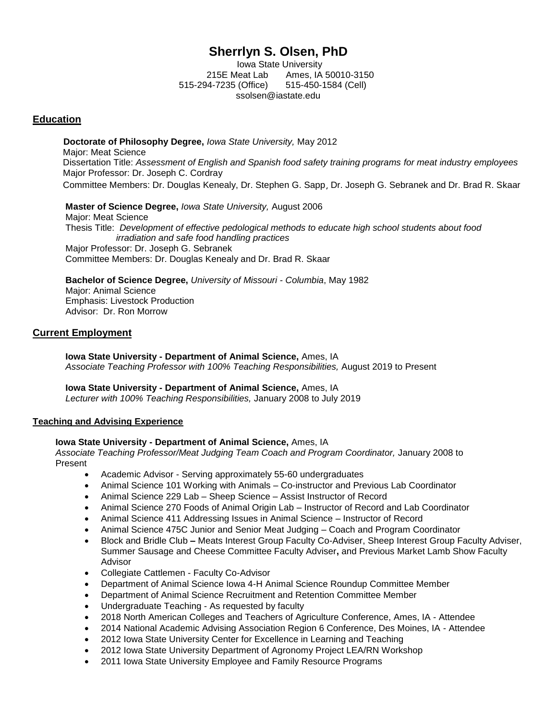# **Sherrlyn S. Olsen, PhD**

Iowa State University 215E Meat Lab Ames, IA 50010-3150 515-294-7235 (Office) 515-450-1584 (Cell) [ssolsen@iastate.edu](mailto:ssolsen@iastate.edu)

# **Education**

 **Doctorate of Philosophy Degree,** *Iowa State University,* May 2012 Major: Meat Science Dissertation Title: *Assessment of English and Spanish food safety training programs for meat industry employees* Major Professor: Dr. Joseph C. Cordray Committee Members: Dr. Douglas Kenealy, Dr. Stephen G. Sapp, Dr. Joseph G. Sebranek and Dr. Brad R. Skaar

**Master of Science Degree,** *Iowa State University,* August 2006 Major: Meat Science Thesis Title: *Development of effective pedological methods to educate high school students about food irradiation and safe food handling practices* Major Professor: Dr. Joseph G. Sebranek Committee Members: Dr. Douglas Kenealy and Dr. Brad R. Skaar

**Bachelor of Science Degree,** *University of Missouri - Columbia*, May 1982 Major: Animal Science Emphasis: Livestock Production Advisor: Dr. Ron Morrow

# **Current Employment**

**Iowa State University - Department of Animal Science,** Ames, IA *Associate Teaching Professor with 100% Teaching Responsibilities,* August 2019 to Present

**Iowa State University - Department of Animal Science,** Ames, IA *Lecturer with 100% Teaching Responsibilities,* January 2008 to July 2019

## **Teaching and Advising Experience**

## **Iowa State University - Department of Animal Science,** Ames, IA

*Associate Teaching Professor/Meat Judging Team Coach and Program Coordinator,* January 2008 to Present

- Academic Advisor Serving approximately 55-60 undergraduates
- Animal Science 101 Working with Animals Co-instructor and Previous Lab Coordinator
- Animal Science 229 Lab Sheep Science Assist Instructor of Record
- Animal Science 270 Foods of Animal Origin Lab Instructor of Record and Lab Coordinator
- Animal Science 411 Addressing Issues in Animal Science Instructor of Record
- Animal Science 475C Junior and Senior Meat Judging Coach and Program Coordinator
- Block and Bridle Club **–** Meats Interest Group Faculty Co-Adviser, Sheep Interest Group Faculty Adviser, Summer Sausage and Cheese Committee Faculty Adviser**,** and Previous Market Lamb Show Faculty Advisor
- Collegiate Cattlemen Faculty Co-Advisor
- Department of Animal Science Iowa 4-H Animal Science Roundup Committee Member
- Department of Animal Science Recruitment and Retention Committee Member
- Undergraduate Teaching As requested by faculty
- 2018 North American Colleges and Teachers of Agriculture Conference, Ames, IA Attendee
- 2014 National Academic Advising Association Region 6 Conference, Des Moines, IA Attendee
- 2012 Iowa State University Center for Excellence in Learning and Teaching
- 2012 Iowa State University Department of Agronomy Project LEA/RN Workshop
- 2011 Iowa State University Employee and Family Resource Programs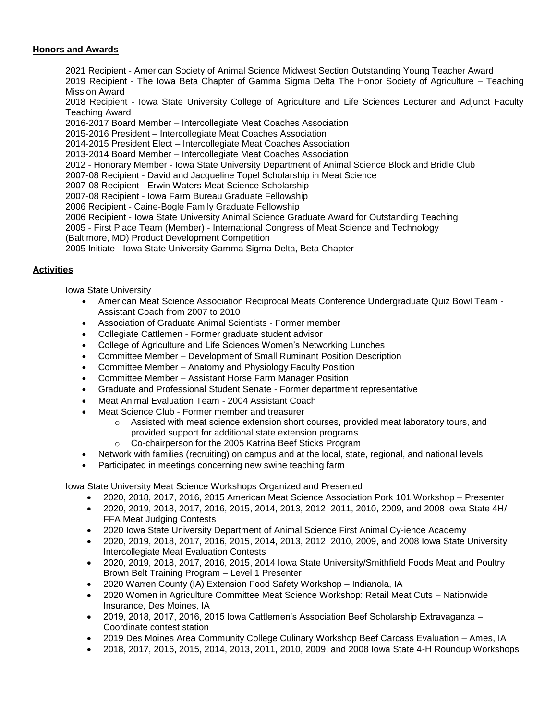# **Honors and Awards**

2021 Recipient - American Society of Animal Science Midwest Section Outstanding Young Teacher Award 2019 Recipient - The Iowa Beta Chapter of Gamma Sigma Delta The Honor Society of Agriculture – Teaching Mission Award

2018 Recipient - Iowa State University College of Agriculture and Life Sciences Lecturer and Adjunct Faculty Teaching Award

2016-2017 Board Member – Intercollegiate Meat Coaches Association

2015-2016 President – Intercollegiate Meat Coaches Association

2014-2015 President Elect – Intercollegiate Meat Coaches Association

2013-2014 Board Member – Intercollegiate Meat Coaches Association

2012 - Honorary Member - Iowa State University Department of Animal Science Block and Bridle Club

2007-08 Recipient - David and Jacqueline Topel Scholarship in Meat Science

2007-08 Recipient - Erwin Waters Meat Science Scholarship

2007-08 Recipient - Iowa Farm Bureau Graduate Fellowship

2006 Recipient - Caine-Bogle Family Graduate Fellowship

2006 Recipient - Iowa State University Animal Science Graduate Award for Outstanding Teaching

2005 - First Place Team (Member) - International Congress of Meat Science and Technology

(Baltimore, MD) Product Development Competition

2005 Initiate - Iowa State University Gamma Sigma Delta, Beta Chapter

# **Activities**

Iowa State University

- American Meat Science Association Reciprocal Meats Conference Undergraduate Quiz Bowl Team Assistant Coach from 2007 to 2010
- Association of Graduate Animal Scientists Former member
- Collegiate Cattlemen Former graduate student advisor
- College of Agriculture and Life Sciences Women's Networking Lunches
- Committee Member Development of Small Ruminant Position Description
- Committee Member Anatomy and Physiology Faculty Position
- Committee Member Assistant Horse Farm Manager Position
- Graduate and Professional Student Senate Former department representative
- Meat Animal Evaluation Team 2004 Assistant Coach
- Meat Science Club Former member and treasurer
	- $\circ$  Assisted with meat science extension short courses, provided meat laboratory tours, and provided support for additional state extension programs
	- o Co-chairperson for the 2005 Katrina Beef Sticks Program
- Network with families (recruiting) on campus and at the local, state, regional, and national levels
- Participated in meetings concerning new swine teaching farm

Iowa State University Meat Science Workshops Organized and Presented

- 2020, 2018, 2017, 2016, 2015 American Meat Science Association Pork 101 Workshop Presenter
- 2020, 2019, 2018, 2017, 2016, 2015, 2014, 2013, 2012, 2011, 2010, 2009, and 2008 Iowa State 4H/ FFA Meat Judging Contests
- 2020 Iowa State University Department of Animal Science First Animal Cy-ience Academy
- 2020, 2019, 2018, 2017, 2016, 2015, 2014, 2013, 2012, 2010, 2009, and 2008 Iowa State University Intercollegiate Meat Evaluation Contests
- 2020, 2019, 2018, 2017, 2016, 2015, 2014 Iowa State University/Smithfield Foods Meat and Poultry Brown Belt Training Program – Level 1 Presenter
- 2020 Warren County (IA) Extension Food Safety Workshop Indianola, IA
- 2020 Women in Agriculture Committee Meat Science Workshop: Retail Meat Cuts Nationwide Insurance, Des Moines, IA
- 2019, 2018, 2017, 2016, 2015 Iowa Cattlemen's Association Beef Scholarship Extravaganza Coordinate contest station
- 2019 Des Moines Area Community College Culinary Workshop Beef Carcass Evaluation Ames, IA
- 2018, 2017, 2016, 2015, 2014, 2013, 2011, 2010, 2009, and 2008 Iowa State 4-H Roundup Workshops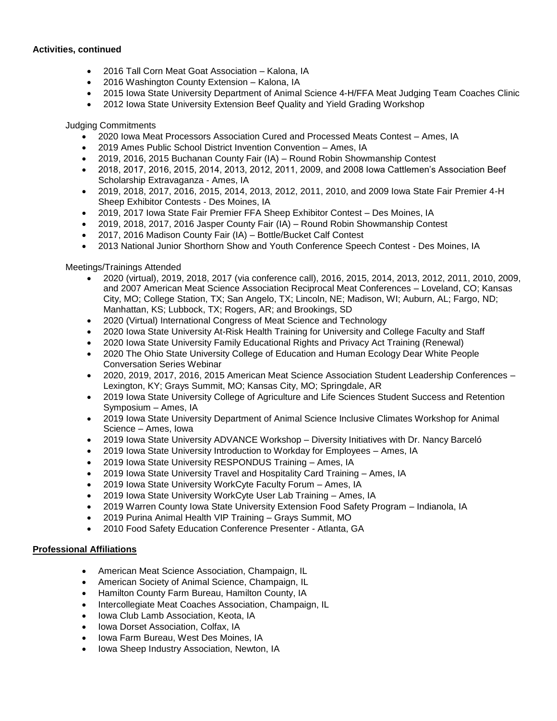## **Activities, continued**

- 2016 Tall Corn Meat Goat Association Kalona, IA
- 2016 Washington County Extension Kalona, IA
- 2015 Iowa State University Department of Animal Science 4-H/FFA Meat Judging Team Coaches Clinic
- 2012 Iowa State University Extension Beef Quality and Yield Grading Workshop

Judging Commitments

- 2020 Iowa Meat Processors Association Cured and Processed Meats Contest Ames, IA
- 2019 Ames Public School District Invention Convention Ames, IA
- 2019, 2016, 2015 Buchanan County Fair (IA) Round Robin Showmanship Contest
- 2018, 2017, 2016, 2015, 2014, 2013, 2012, 2011, 2009, and 2008 Iowa Cattlemen's Association Beef Scholarship Extravaganza - Ames, IA
- 2019, 2018, 2017, 2016, 2015, 2014, 2013, 2012, 2011, 2010, and 2009 Iowa State Fair Premier 4-H Sheep Exhibitor Contests - Des Moines, IA
- 2019, 2017 Iowa State Fair Premier FFA Sheep Exhibitor Contest Des Moines, IA
- 2019, 2018, 2017, 2016 Jasper County Fair (IA) Round Robin Showmanship Contest
- 2017, 2016 Madison County Fair (IA) Bottle/Bucket Calf Contest
- 2013 National Junior Shorthorn Show and Youth Conference Speech Contest Des Moines, IA

Meetings/Trainings Attended

- 2020 (virtual), 2019, 2018, 2017 (via conference call), 2016, 2015, 2014, 2013, 2012, 2011, 2010, 2009, and 2007 American Meat Science Association Reciprocal Meat Conferences – Loveland, CO; Kansas City, MO; College Station, TX; San Angelo, TX; Lincoln, NE; Madison, WI; Auburn, AL; Fargo, ND; Manhattan, KS; Lubbock, TX; Rogers, AR; and Brookings, SD
- 2020 (Virtual) International Congress of Meat Science and Technology
- 2020 Iowa State University At-Risk Health Training for University and College Faculty and Staff
- 2020 Iowa State University Family Educational Rights and Privacy Act Training (Renewal)
- 2020 The Ohio State University College of Education and Human Ecology Dear White People Conversation Series Webinar
- 2020, 2019, 2017, 2016, 2015 American Meat Science Association Student Leadership Conferences Lexington, KY; Grays Summit, MO; Kansas City, MO; Springdale, AR
- 2019 Iowa State University College of Agriculture and Life Sciences Student Success and Retention Symposium – Ames, IA
- 2019 Iowa State University Department of Animal Science Inclusive Climates Workshop for Animal Science – Ames, Iowa
- 2019 Iowa State University ADVANCE Workshop Diversity Initiatives with Dr. Nancy Barceló
- 2019 Iowa State University Introduction to Workday for Employees Ames, IA
- 2019 Iowa State University RESPONDUS Training Ames, IA
- 2019 Iowa State University Travel and Hospitality Card Training Ames, IA
- 2019 Iowa State University WorkCyte Faculty Forum Ames, IA
- 2019 Iowa State University WorkCyte User Lab Training Ames, IA
- 2019 Warren County Iowa State University Extension Food Safety Program Indianola, IA
- 2019 Purina Animal Health VIP Training Grays Summit, MO
- 2010 Food Safety Education Conference Presenter Atlanta, GA

## **Professional Affiliations**

- American Meat Science Association, Champaign, IL
- American Society of Animal Science, Champaign, IL
- Hamilton County Farm Bureau, Hamilton County, IA
- Intercollegiate Meat Coaches Association, Champaign, IL
- Iowa Club Lamb Association, Keota, IA
- Iowa Dorset Association, Colfax, IA
- Iowa Farm Bureau, West Des Moines, IA
- Iowa Sheep Industry Association, Newton, IA